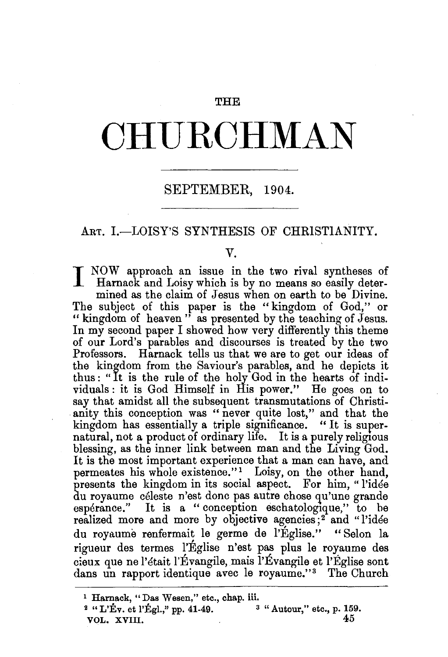#### THE

# **CHURCHMAN**

## SEPTEMBER, 1904.

#### ART. I.-LOISY'S SYNTHESIS OF CHRISTIANITY.

#### v.

I NOW approach an issue in the two rival syntheses of Harnack and Loisy which is the Harnack and Loisy which is by no means so easily determined as the claim of Jesus when on earth to be Divine. The subject of this paper is the "kingdom of God," or " kingdom of heaven" as presented by the teaching of Jesus. In my second paper I showed how very differently this theme of our Lord's parables and discourses is treated by the two Professors. Harnack tells us that we are to get our ideas of the kingdom from the Saviour's parables, and he depicts it thus: "It is the rule of the holy God in the hearts of individuals: it is God Himself in His power." He goes on to say that amidst all the subsequent transmutations of Christianity this conception was "never quite lost," and that the kingdom has essentially a triple significance. " It is supernatural, not a product of ordinary life. It is a purely religious blessing, as the inner link between man and the Living God. It is the most important experience that a man can have, and permeates his whole existence."<sup>1</sup> Loisy, on the other hand, presents the kingdom in its social aspect. For him, "l'idee du royaume celeste n'est done pas autre chose qu'une grande espérance." It is a "conception eschatologique," to be realized more and more by objective agencies;<sup>2</sup> and "l'idée du royaume renfermait le germe de l'Église." "Selon la rigueur des termes l'Eglise n'est pas plus le royaume des cieux que ne l'était l'Évangile, mais l'Évangile et l'Église sont dans un rapport identique avec le royaume."<sup>3</sup> The Church

<sup>&</sup>lt;sup>1</sup> Harnack, "Das Wesen," etc., chap. iii.<br><sup>2</sup> "L'Év. et l'Égl.," pp. 41-49. <sup>3</sup> "Autour," etc., p. 159. <sup>2</sup> "L'Ev. et l'Egl.," pp. 41-49.  $3$  " Autour," etc., p. 159.<br>VOL. XVIII. VOL. XVIII.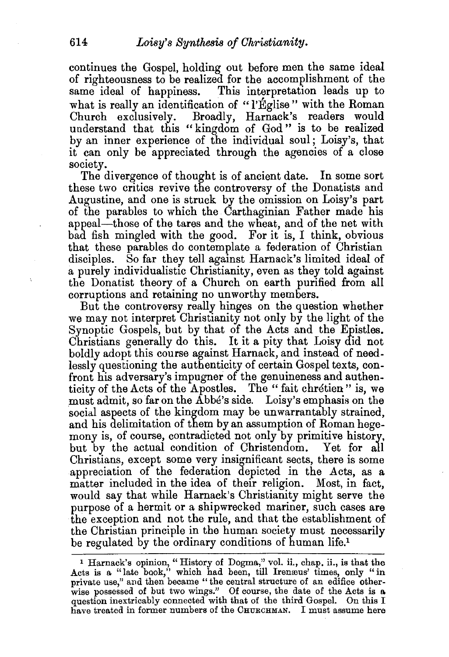continues the Gospel, holding out before men the same ideal of righteousness to be realized for the accomplishment of the same ideal of happiness. This interpretation leads up to what is really an identification of "l'Église" with the Roman Church exclusively. Broadly, Harnack's readers would understand that this " kingdom of God " is to be realized by an inner experience of the individual soul; Loisy's, that it can only be appreciated through the agencies of a close society.

The divergence of thought is of ancient date. In some sort these two critics revive the controversy of the Donatists and Augustine, and one is struck by the omission on Loisy's part of the parables to which the Carthaginian Father made his appeal-those of the tares and the wheat, and of the net with bad fish mingled with the good. For it is, I think, obvious that these parables do contemplate a federation of Christian disciples. So far they tell against Harnack's limited ideal of a purely individualistic Christianity, even as they told against the Donatist theory of a Church on earth purified from all corruptions and retaining no unworthy members.

But the controversy really hinges on the question whether we may not interpret Christianity not only by the light of the Synoptic Gospels, but by that of the Acts and the Epistles. Christians generally do this. It it a pity that Loisy did not boldly adopt this course against Harnack, and instead of needlessly questioning the authenticity of certain Gospel texts, confront his adversary's impugner of the genuineness and authenticity of the Acts of the Apostles. The "fait chretien" is, we must admit, so far on the Abbe's side. Loisy's emphasis on the social aspects of the kingdom may be unwarrantably strained, and his delimitation of them by an assumption of Roman hegemony is, of course, contradicted not only by primitive history, but by the actual condition of Christendom. Yet for all Christians, except some very insignificant sects, there is some appreciation of the federation depicted in the Acts, as a matter included in the idea of their religion. Most, in fact, would say that while Harnack's Christianity might serve the purpose of a hermit or a shipwrecked mariner, such cases are the exception and not the rule, and that the establishment of the Christian principle in the human society must necessarily be regulated by the ordinary conditions of human life.<sup>1</sup>

<sup>1</sup> Harnack's opinion, "History of Dogma," vol. ii., chap. ii., is that the Acts is a "late book," which had been, till Irenaus' times, only "in private use," and then became "the central structure of an edifice otherwise possessed of but two wings." Of course, the date of the Acts is a question inextricably connected with that of the third Gospel. On this I have treated in former numbers of the CHURCHMAN. I must assume here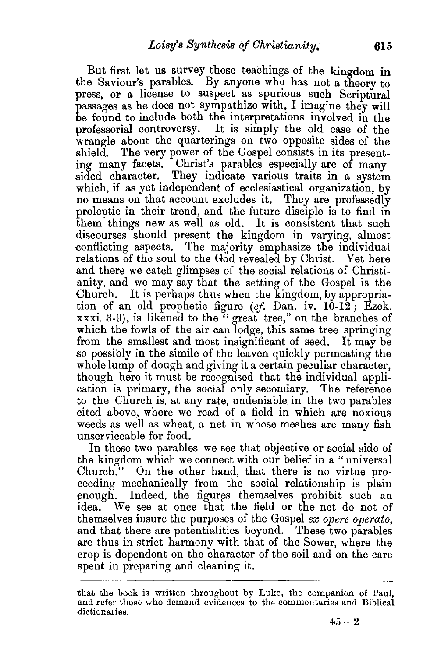But first let us survey these teachings of the kingdom **in**  the Saviour's parables. By anyone who has not a theory to press, or a license to suspect as spurious such Scriptural passages as he does not sympathize with, I imagine they will be found to include both the interpretations involved in the professorial controversy. It is simply the old case of the wrangle about the quarterings on two opposite sides of the shield. The very power of the Gospel consists in its presenting many facets. Christ's parables especially are of manysided character. They indicate various traits in a system which, if as yet independent of ecclesiastical organization, by no means on that account excludes it. They are professedly proleptic in their trend, and the future disciple is to find in them things new as well as old. It is consistent that such discourses should present the kingdom in varying, almost conflicting aspects. The majority emphasize the individual relations of the soul to the God revealed by Christ. Yet here and there we catch glimpses of the social relations of Christianity, and we may say that the setting of the Gospel is the Church. It is perhaps thus when the kingdom, by appropriation of an old prophetic figure *(cf.* Dan. iv. 10-12; Ezek. xxxi. 3-9), is likened to the "great tree," on the branches of which the fowls of the air can lodge, this same tree springing from the smallest and most insignificant of seed. It may be so possibly in the simile of the leaven quickly permeating the whole lump of dough and giving it a certain peculiar character, though here it must be recognised that the individual application is primary, the social only secondary. The reference to the Church is, at any rate, undeniable in the two parables cited above, where we read of a field in which are noxious weeds as well as wheat, a net in whose meshes are many fish unserviceable for food.

In these two parables we see that objective or social side of the kingdom which we connect with our belief in a " universal Church." On the other hand, that there is no virtue proceeding mechanically from the social relationship is plain enough. Indeed, the figures themselves prohibit such an idea. We see at once that the field or the net do not of themselves insure the purposes of the Gospel *ex opere operata,*  and that there are potentialities beyond. These two parables are thus in strict harmony with that of the Sower, where the crop is dependent on the character of the soil and on the care spent in preparing and cleaning it.

that the book is written throughout by Luke, the companion of Paul, and refer those who demand evidences to the commentaries and Biblical dictionaries.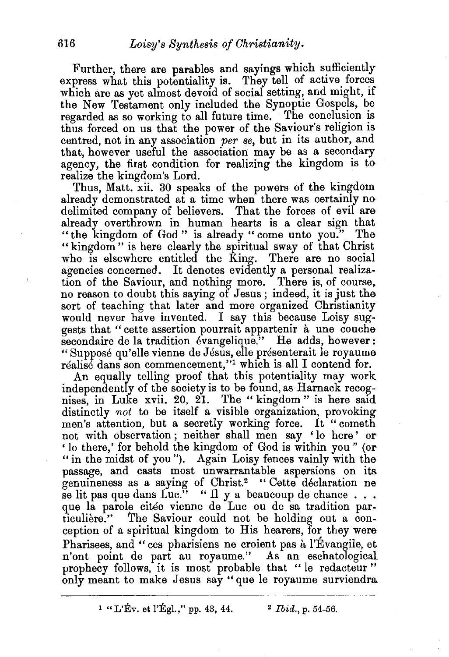Further, there are parables and sayings which sufficiently express what this potentiality is. They tell of active forces which are as yet almost devoid of social setting, and might, if the New Testament only included the Synoptic Gospels, be regarded as so working to all future time. The conclusion is thus forced on us that the power of the Saviour's religion is centred, not in any association *per se,* but in its author, and that, however useful the association may be as a secondary agency, the first condition for realizing the kingdom is to realize the kingdom's Lord.

Thus, Matt. xii. 30 speaks of the powers of the kingdom already demonstrated at a time when there was certainly no delimited company of believers. That the forces of evil are already overthrown in human hearts is a clear sign that "the kingdom of God" is already "come unto you." The " kingdom" is here clearly the spiritual sway of that Christ<br>who is elsewhere entitled the King. There are no social who is elsewhere entitled the  $\overline{\text{King.}}$ agencies concerned. It denotes evidently a personal realization of the Saviour, and nothing more. There is, of course, no reason to doubt this saying of Jesus; indeed, it is just the sort of teaching that later and more organized Christianity would never have invented. I say this because Loisy suggests that " cette assertion pourrait appartenir a une couche secondaire de la tradition évangelique." He adds, however: "Supposé qu'elle vienne de Jésus, elle présenterait le royaume réalisé dans son commencement,"<sup>1</sup> which is all I contend for.

An equally telling proof that this potentiality may work independently of the society is to be found, as Harnack recognises, in Luke xvii. 20, 21. The "kingdom" is here said distinctly *not* to be itself a visible organization, provoking men's attention, but a secretly working force. It "cometh not with observation; neither shall men say 'lo here' or 'lo there,' for behold the kingdom of God is within you" (or " in the midst of you"). Again Loisy fences vainly with the passage, and casts most unwarrantable aspersions on its genuineness as a saying of Christ.2 "Cette declaration ne se lit pas que dans Luc." "Il y a beaucoup de chance ...<br>que la parole citée vienne de Luc ou de sa tradition particuliere." The Saviour could not be holding out a conception of a spiritual kingdom to His hearers, for they were Pharisees, and " ces pharisiens ne croient pas a l'Evangile, et n'ont point de part au royaume." As an eschatological prophecy follows, it is most probable that " le redacteur " only meant to make Jesus say" que le royaume surviendra.

1 "L'Ev. et l'Egl.," pp. 43, 44. <br>
<sup>2</sup> *Ibid.*, p. 54-56.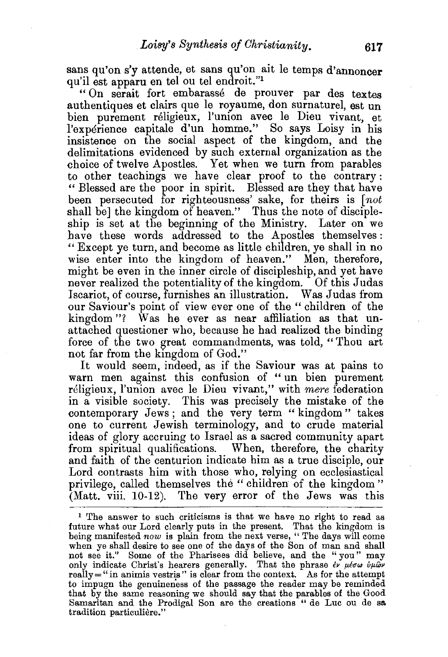sans qu'on s'y attende, et sans qu'on ait le temps d'annoncer qu'il est apparu en tel ou tel endroit."<sup>1</sup>

" On serait fort embarasse de prouver par des textes authentiques et clairs que le royaume, don surnaturel, est un bien purement religieux, l'union avec le Dieu vivant, et l'experience capitale d'un homme." So says Loisy in his insistence on the social aspect of the kingdom, and the delimitations evidenced by such external organization as the choice of twelve Apostles. Yet when we turn from parables to other teachings we have clear proof to the contrary : "Blessed are the poor in spirit. Blessed are they that have been persecuted for righteousness' sake, for theirs is *[not*  shall be] the kingdom of heaven." Thus the note of discipleship is set at the beginning of the Ministry. Later on we have these words addressed to the Apostles themselves: " Except ye turn, and become as little children, ye shall in no wise enter into the kingdom of heaven." Men, therefore, might be even in the inner circle of discipleship, and yet have never realized the potentiality of the kingdom. Of this Judas Iscariot, of course, furnishes an illustration. Was Judas from our Saviour's point of view ever one of the "children of the kingdom "? Was he ever as near affiliation as that unattached questioner who, because he had realized the binding force of the two great commandments, was told, " Thou art not far from the kingdom of God."

It would seem, indeed, as if the Saviour was at pains to warn men against this confusion of " un bien purement religieux, l'union avec le Dieu vivant," with *mere* federation in a visible society. This was precisely the mistake of the contemporary Jews ; and the very term " kingdom " takes one to current Jewish terminology, and to crude material ideas of glory accruing to Israel as a sacred community apart from spiritual qualifications. When, therefore, the charity and faith of the centurion indicate him as a true disciple, our Lord contrasts him with those who, relying on ecclesiastical privilege, called themselves the "children of the kingdom" (Matt. viii. 10-12). The very error of the Jews was this

<sup>&</sup>lt;sup>1</sup> The answer to such criticisms is that we have no right to read as future what our Lord clearly puts in the present. That the kingdom is being manifested *now* is plain from the next verse, " The days will come when ye shall desire to see one of the days of the Son of man and shall not see it." Some of the Pharisees did believe, and the " you" may only indicate Christ's hearers generally. That the phrase  $e^{\mu}$   $\mu$ *to*  $\omega$  *i* $\mu$ ων really  $=$  " in animis vestris" is clear from the context. As for the attempt to impugn the genuineness of the passage the reader may be reminded that by the same reasoning we should say that the parables of the Good Samaritan and the Prodigal Son are the creations " de Luc ou de sa<br>tradition particulière."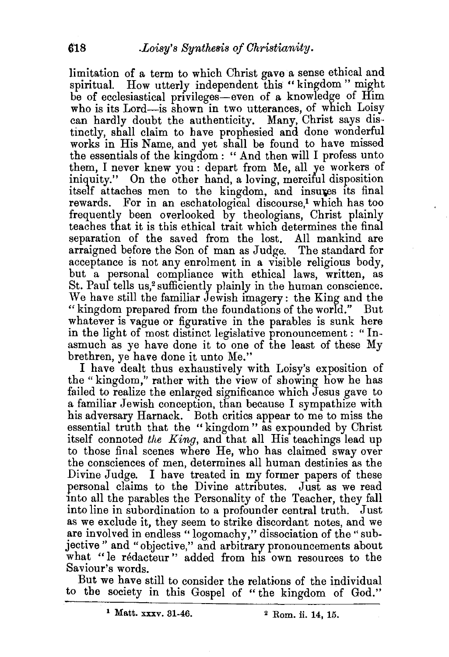limitation of a term to which Christ gave a sense ethical and spiritual. How utterly independent this "kingdom" might be of ecclesiastical privileges-even of a knowledge of Him who is its Lord-is shown in two utterances, of which Loisy can hardly doubt the authenticity. Many, Christ says distinctly, shall claim to have prophesied and done wonderful works in His Name, and yet shall be found to have missed the essentials of the kingdom : " And then will I profess unto them, I never knew you : depart from Me, all ye workers of iniquity." On the other hand, a loving, merciful disposition itself attaches men to the kingdom, and insures its final rewards. For in an eschatological discourse,<sup>1</sup> which has too frequently been overlooked by theologians, Christ plainly teaches that it is this ethical trait which determines the final separation of the saved from the lost. All mankind are arraigned before the Son of man as Judge. The standard for acceptance is not any enrolment in a visible religious body, but a personal compliance with ethical laws, written, as St. Paul tells us,<sup>2</sup> sufficiently plainly in the human conscience. We have still the familiar Jewish imagery: the King and the "kingdom prepared from the foundations of the world." But whatever is vague or figurative in the parables is sunk here in the light of most distinct legislative pronouncement : " Inasmuch as ye have done it to one of the least of these My brethren, ye have done it unto Me."

I have dealt thus exhaustively with Loisy's exposition of the "kingdom," rather with the view of showing how he has failed to realize the enlarged significance which Jesus gave to a familiar Jewish conception, than because I sympathize with his adversary Harnack. Both critics appear to me to miss the essential truth that the "kingdom" as expounded by Christ itself connoted *the King,* and that all His teachings lead up to those final scenes where He, who has claimed sway over the consciences of men, determines all human destinies as the Divine Judge. I have treated in my former papers of these personal claims to the Divine attributes. Just as we read into all the parables the Personality of the Teacher, they fall into line in subordination to a profounder central truth. Just as we exclude it, they seem to strike discordant notes, and we are involved in endless "logomachy," dissociation of the" subjective" and "objective," and arbitrary pronouncements about what "le rédacteur" added from his own resources to the Saviour's words.

But we have still to consider the relations of the individual to the society in this Gospel of "the kingdom of God."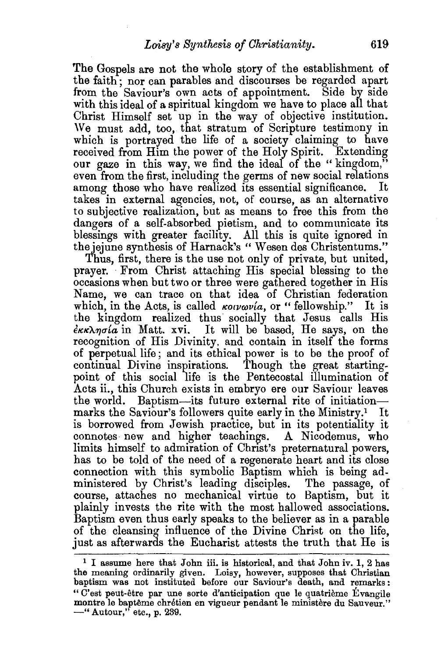The Gospels are not the whole story of the establishment of the faith; nor can parables and discourses be regarded apart from the Saviour's own acts of appointment. Side by side with this ideal of a spiritual kingdom we have to place all that Christ Himself set up in the way of objective institution. We must add, too, that stratum of Scripture testimony in which is portrayed the life of a society claiming to have received from Him the power of the Holy Spirit. Extending our gaze in this way, we find the ideal of the "kingdom," even from the first, including the germs of new social relations among those who have realized its essential significance. takes in external agencies, not, of course, as an alternative to subjective realization, but as means to free this from the dangers of a self-absorbed pietism, and to communicate its blessings with greater facility. All this is quite ignored in the jejune synthesis of Harnack's "Wesen des Christentums."

Thus, first, there is the use not only of private, but united, prayer. From Christ attaching His special blessing to the occasions when but two or three were gathered together in His Name, we can trace on that idea of Christian federation which, in the Acts, is called  $\kappa \circ \iota \circ \iota \circ \iota$  or "fellowship." It is the kingdom realized thus socially that Jesus calls His  $\epsilon \kappa \kappa \lambda \eta \sigma \omega$  in Matt. xvi. It will be based, He says, on the recognition of His Divinity. and contain in itself the forms of perpetual life; and its ethical power is to be the proof of continual Divine inspirations. Though the great startingpoint of this social life is the Pentecostal illumination of Acts ii., this Church exists in embryo ere our Saviour leaves the world. Baptism-its future external rite of initiationmarks the Saviour's followers quite early in the Ministry.<sup>1</sup> It is borrowed from Jewish practice, but in its potentiality it connotes new and higher teachings. A Nicodemus, who limits himself to admiration of Christ's preternatural powers, has to be told of the need of a regenerate heart and its close connection with this symbolic Baptism which is being administered by Christ's leading disciples. The passage, of course, attaches no mechanical virtue to Baptism, but it plainly invests the rite with the most hallowed associations. Baptism even thus early speaks to the believer as in a parable of the cleansing influence of the Divine Christ on the life, just as afterwards the Eucharist attests the truth that He is

<sup>&</sup>lt;sup>1</sup> I assume here that John iii. is historical, and that John iv. 1, 2 has the meaning ordinarily given. Loisy, however, supposes that Christian baptism was not instituted before our Saviour's death, and remarks: "C'est peut-etre par une sorte d'anticipation que le quatrieme Evangile montre le baptême chrétien en vigueur pendant le ministère du Sauveur." -" Autour," etc., p. 239.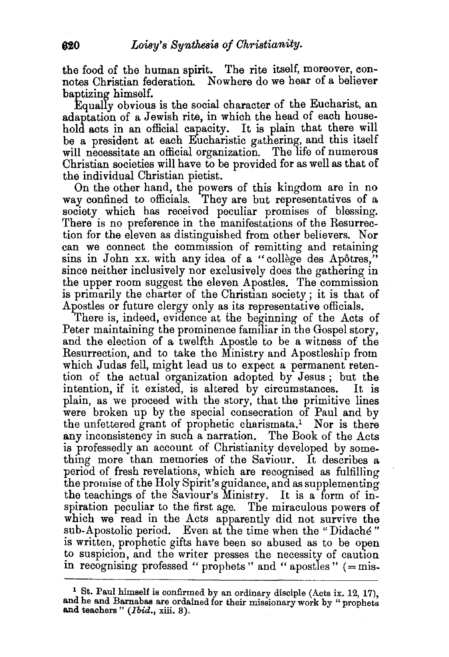the food of the human spirit. The rite itself, moreover, eonnotes Christian federation. Nowhere do we hear of a believer baptizing himself.

Equally obvious is the social character of the Eucharist, an adaptation of a Jewish rite, in which the head of each household acts in an official capacity. It is plain that there will be a president at each Eucharistic gathering, and this itself will necessitate an official organization. The life of numerous Christian societies will have to be provided for as well as that of the individual Christian pietist.

On the other hand, the powers of this kingdom are in no way confined to officials. They are but representatives of a society which has received peculiar promises of blessing. There is no preference in the manifestations of the Resurrection for the eleven as distinguished from other believers. Nor can we connect the commission of remitting and retaining sins in John xx. with any idea of a "college des Apôtres," since neither inclusively nor exclusively does the gathering in the upper room suggest the eleven Apostles. The commission is primarily the charter of the Christian society; it is that of Apostles or future clergy only as its representative officials.

There is, indeed, evidence at the beginning of the Acts of Peter maintaining the prominence familiar in the Gospel story. and the election of a twelfth Apostle to be a witness of the Resurrection, and to take the Ministry and Apostleship from which Judas fell, might lead us to expect a permanent retention of the actual organization adopted by Jesus ; but the intention, if it existed, is altered by circumstances. It is plain, as we proceed with the story, that the primitive lines were broken up by the special consecration of Paul and by the unfettered grant of prophetic charismata.1 Nor is there any inconsistency in such a narration. The Book of the Acts is professedly an account of Christianity developed by something more than memories of the Saviour. It describes a period of fresh revelations, which are recognised as fulfilling the promise of the Holy Spirit's guidance, and as supplementing the teachings of the Saviour's Ministry. It is a form of inspiration peculiar to the first age. The miraculous powers of which we read in the Acts apparently did not survive the sub-Apostolic period. Even at the time when the "Didache" is written, prophetic gifts have been so abused as to be open to suspicion, and the writer presses the necessity of caution in recognising professed " prophets " and " apostles "  $( = \text{mis} - \text{mis} + \text{mis} - \text{mis} + \text{mis} - \text{mis} + \text{mis} - \text{mis} + \text{mis} - \text{mis} + \text{mis} - \text{mis} - \text{mis} - \text{mis} - \text{mis} - \text{mis} - \text{mis} - \text{mis} - \text{mis} - \text{mis} - \text{mis} - \text{mis} - \text{mis} - \text{mis} - \text{mis} - \text{mis} - \text{mis} - \$ 

<sup>&</sup>lt;sup>1</sup> St. Paul himself is confirmed by an ordinary disciple (Acts ix. 12, 17), and he and Barnabas are ordained for their missionary work by "prophets and teachers" *(Ibid.,* xiii. 3).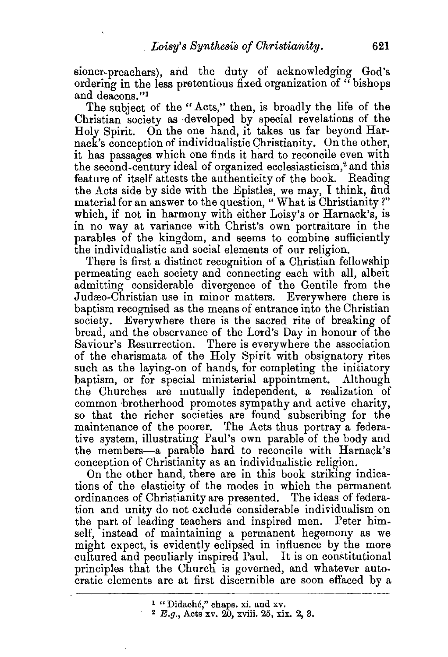sioner-preachers), and the duty of acknowledging God's ordering in the less pretentious fixed organization of " bishops and deacons.''<sup>1</sup>

The subject of the "Acts," then, is broadly the life of the Christian society as developed by special revelations of the Holy Spirit. On the one hand, it takes us far beyond Harnack's conception of individualistic Christianity. On the other, it has passages which one finds it hard to reconcile even with the second-century ideal of organized ecclesiasticism,<sup>2</sup> and this feature of itself attests the authenticity of the book. Reading the Acts side by side with the Epistles, we may, I think, find material for an answer to the question, " What is Christianity?" which, if not in harmony with either Loisy's or Harnack's, is in no way at variance with Christ's own portraiture in the parables of the kingdom, and seems to combine sufficiently the individualistic and social elements of our religion.

There is first a distinct recognition of a Christian fellowship permeating each society and connecting each with all, albeit admitting considerable divergence of the Gentile from the Judæo-Christian use in minor matters. Everywhere there is baptism recognised as the means of entrance into the Christian society. Everywhere there is the sacred rite of breaking of bread, and the observance of the Lord's Dav in honour of the Saviour's Resurrection. There is everywhere the association of the charismata of the Holy Spirit with obsignatory rites such as the laying-on of hands, for completing the initiatory baptism, or for special ministerial appointment. Although the Churches are mutually independent, a realization of common brotherhood promotes sympathy and active charity, so that the richer societies are found subscribing for the maintenance of the poorer. The Acts thus portray a federative system, illustrating Paul's own parable of the body and the members-a parable hard to reconcile with Harnack's conception of Christianity as an individualistic religion.

On the other hand, there are in this book striking indications of the elasticity of the modes in which the permanent ordinances of Christianity are presented. The ideas of federation and unity do not exclude considerable individualism on the part of leading teachers and inspired men. Peter himself, instead of maintaining a permanent hegemony as we might expect, is evidently eclipsed in influence by the more cultured and peculiarly inspired Paul. It is on constitutional principles that the Church is governed, and whatever autocratic elements are at first discernible are soon effaced by a

<sup>&</sup>lt;sup>1</sup> "Didaché," chaps. xi. and xv.<br><sup>2</sup> *E.g.*, Acts xv. 20, xviii. 25, xix. 2, 3.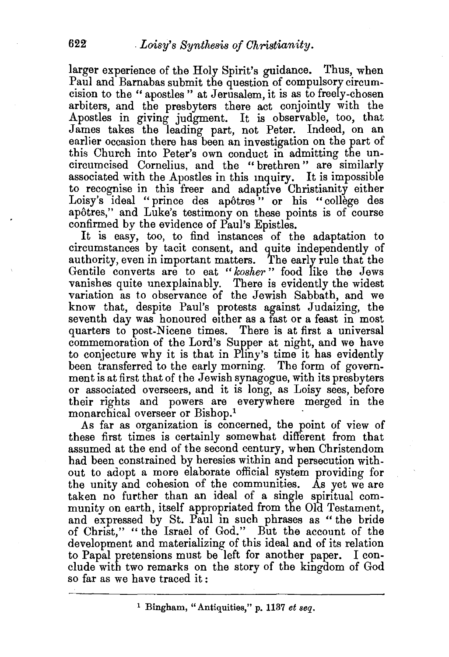larger experience of the Holy Spirit's guidance. Thus, when Paul and Barnabas submit the question of compulsory circumcision to the" apostles" at Jerusalem, it is as to freely-chosen arbiters, and the presbyters there act conjointly with the Apostles in giving judgment. It is observable, too, that James takes the leading part, not Peter. Indeed, on an earlier occasion there has been an investigation on the part of this Church into Peter's own conduct in admitting the uncircumcised Cornelius, and the " brethren" are similarly associated with the Apostles in this mguiry. It is impossible to recognise in this freer and adaptive Christianity either Loisy's ideal "prince des apôtres" or his "collège des apotres," and Luke's testimony on these points is of course confirmed by the evidence of Paul's Epistles.

It is easy, too, to find instances of the adaptation to circumstances by tacit consent, and quite independently of authority, even in important matters. The early rule that the Gentile converts are to eat "kosher" food like the Jews vanishes quite unexplainably. There is evidently the widest variation as to observance of the Jewish Sabbath, and we know that, despite Paul's protests against Judaizing, the seventh day was honoured either as a fast or a feast in most quarters to post-Nicene times. There is at first a universal commemoration of the Lord's Supper at night, and we have to conjecture why it is that in Pliny's time it has evidently been transferred to the early morning. The form of government is at first that of the Jewish synagogue, with its presbyters or associated overseers, and it is long, as Loisy sees, before their rights and powers are everywhere merged in the monarchical overseer or Bishop.<sup>1</sup>

As far as organization is concerned, the point of view of these first times is certainly somewhat different from that assumed at the end of the second century, when Christendom had been constrained by heresies within and persecution without to adopt a more elaborate official system providing for the unity and cohesion of the communities. As yet we are taken no further than an ideal of a single spiritual community on earth, itself appropriated from the Old Testament, and expressed by St. Paul in such phrases as " the bride of Christ," "the Israel of God." But the account of the development and materializing of this ideal and of its relation to Papal pretensions must be left for another paper. I conclude with two remarks on the story of the kingdom of God so far as we have traced it: